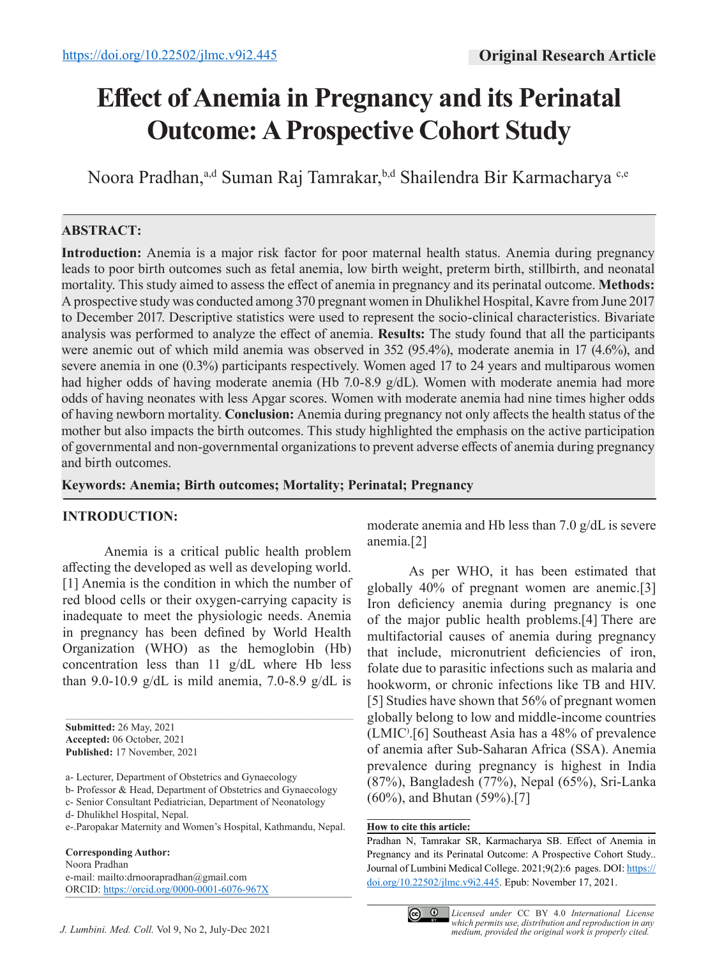# **Effect of Anemia in Pregnancy and its Perinatal Outcome: A Prospective Cohort Study**

Noora Pradhan,<sup>a,d</sup> Suman Raj Tamrakar,<sup>b,d</sup> Shailendra Bir Karmacharya<sup>c,e</sup>

## **ABSTRACT:**

**Introduction:** Anemia is a major risk factor for poor maternal health status. Anemia during pregnancy leads to poor birth outcomes such as fetal anemia, low birth weight, preterm birth, stillbirth, and neonatal mortality. This study aimed to assess the effect of anemia in pregnancy and its perinatal outcome. **Methods:**  A prospective study was conducted among 370 pregnant women in Dhulikhel Hospital, Kavre from June 2017 to December 2017. Descriptive statistics were used to represent the socio-clinical characteristics. Bivariate analysis was performed to analyze the effect of anemia. **Results:** The study found that all the participants were anemic out of which mild anemia was observed in 352 (95.4%), moderate anemia in 17 (4.6%), and severe anemia in one (0.3%) participants respectively. Women aged 17 to 24 years and multiparous women had higher odds of having moderate anemia (Hb 7.0-8.9 g/dL). Women with moderate anemia had more odds of having neonates with less Apgar scores. Women with moderate anemia had nine times higher odds of having newborn mortality. **Conclusion:** Anemia during pregnancy not only affects the health status of the mother but also impacts the birth outcomes. This study highlighted the emphasis on the active participation of governmental and non-governmental organizations to prevent adverse effects of anemia during pregnancy and birth outcomes.

**Keywords: Anemia; Birth outcomes; Mortality; Perinatal; Pregnancy**

#### **INTRODUCTION:**

Anemia is a critical public health problem affecting the developed as well as developing world. [1] Anemia is the condition in which the number of red blood cells or their oxygen-carrying capacity is inadequate to meet the physiologic needs. Anemia in pregnancy has been defined by World Health Organization (WHO) as the hemoglobin (Hb) concentration less than 11 g/dL where Hb less than 9.0-10.9 g/dL is mild anemia, 7.0-8.9 g/dL is

b- Professor & Head, Department of Obstetrics and Gynaecology

e-.Paropakar Maternity and Women's Hospital, Kathmandu, Nepal.

**Corresponding Author:** Noora Pradhan e-mail: mailto:drnoorapradhan@gmail.com ORCID: https://orcid.org/0000-0001-6076-967X moderate anemia and Hb less than 7.0 g/dL is severe anemia.[2]

As per WHO, it has been estimated that globally 40% of pregnant women are anemic.[3] Iron deficiency anemia during pregnancy is one of the major public health problems.[4] There are multifactorial causes of anemia during pregnancy that include, micronutrient deficiencies of iron, folate due to parasitic infections such as malaria and hookworm, or chronic infections like TB and HIV. [5] Studies have shown that 56% of pregnant women globally belong to low and middle-income countries (LMIC) .[6] Southeast Asia has a 48% of prevalence of anemia after Sub-Saharan Africa (SSA). Anemia prevalence during pregnancy is highest in India (87%), Bangladesh (77%), Nepal (65%), Sri-Lanka (60%), and Bhutan (59%).[7]

#### **How to cite this article:**

Pradhan N, Tamrakar SR, Karmacharya SB. Effect of Anemia in Pregnancy and its Perinatal Outcome: A Prospective Cohort Study.. Journal of Lumbini Medical College. 2021;9(2):6 pages. DOI: https:// doi.org/10.22502/jlmc.v9i2.445. Epub: November 17, 2021.



*medium, provided the original work is properly cited. Licensed under* CC BY 4.0 *International License which permits use, distribution and reproduction in any* 

**Submitted:** 26 May, 2021 **Accepted:** 06 October, 2021 **Published:** 17 November, 2021

a- Lecturer, Department of Obstetrics and Gynaecology

c- Senior Consultant Pediatrician, Department of Neonatology

d- Dhulikhel Hospital, Nepal.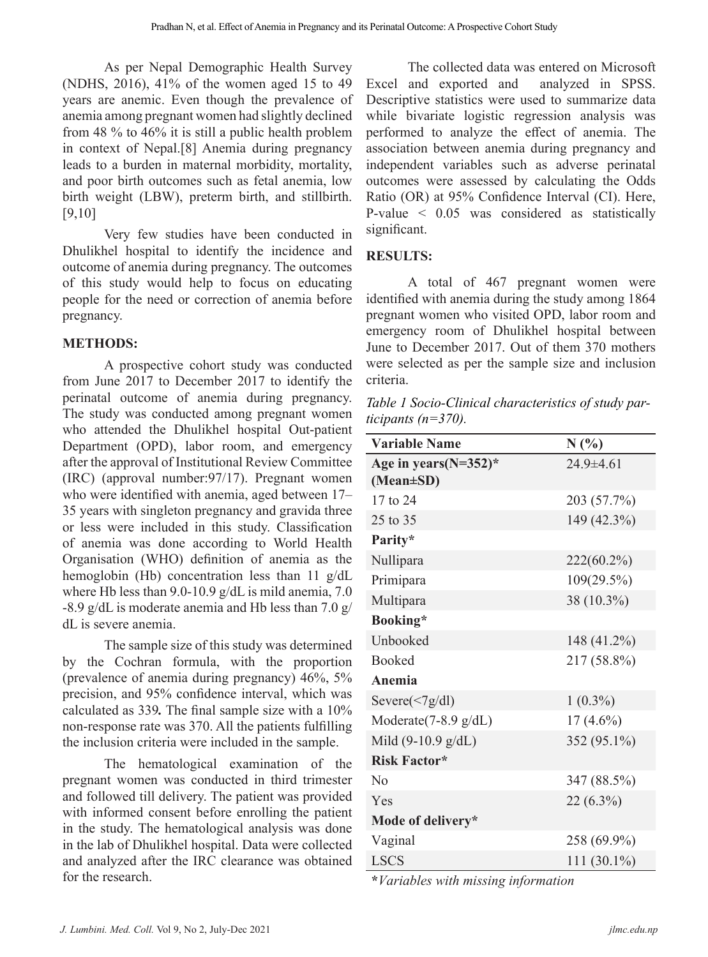As per Nepal Demographic Health Survey (NDHS, 2016), 41% of the women aged 15 to 49 years are anemic. Even though the prevalence of anemia among pregnant women had slightly declined from 48 % to 46% it is still a public health problem in context of Nepal.[8] Anemia during pregnancy leads to a burden in maternal morbidity, mortality, and poor birth outcomes such as fetal anemia, low birth weight (LBW), preterm birth, and stillbirth. [9,10]

Very few studies have been conducted in Dhulikhel hospital to identify the incidence and outcome of anemia during pregnancy. The outcomes of this study would help to focus on educating people for the need or correction of anemia before pregnancy.

#### **METHODS:**

A prospective cohort study was conducted from June 2017 to December 2017 to identify the perinatal outcome of anemia during pregnancy. The study was conducted among pregnant women who attended the Dhulikhel hospital Out-patient Department (OPD), labor room, and emergency after the approval of Institutional Review Committee (IRC) (approval number:97/17). Pregnant women who were identified with anemia, aged between 17– 35 years with singleton pregnancy and gravida three or less were included in this study. Classification of anemia was done according to World Health Organisation (WHO) definition of anemia as the hemoglobin (Hb) concentration less than 11 g/dL where Hb less than 9.0-10.9 g/dL is mild anemia, 7.0 -8.9 g/dL is moderate anemia and Hb less than 7.0 g/ dL is severe anemia.

The sample size of this study was determined by the Cochran formula, with the proportion (prevalence of anemia during pregnancy) 46%, 5% precision, and 95% confidence interval, which was calculated as 339*.* The final sample size with a 10% non-response rate was 370. All the patients fulfilling the inclusion criteria were included in the sample.

The hematological examination of the pregnant women was conducted in third trimester and followed till delivery. The patient was provided with informed consent before enrolling the patient in the study. The hematological analysis was done in the lab of Dhulikhel hospital. Data were collected and analyzed after the IRC clearance was obtained for the research.

The collected data was entered on Microsoft Excel and exported and analyzed in SPSS. Descriptive statistics were used to summarize data while bivariate logistic regression analysis was performed to analyze the effect of anemia. The association between anemia during pregnancy and independent variables such as adverse perinatal outcomes were assessed by calculating the Odds Ratio (OR) at 95% Confidence Interval (CI). Here, P-value < 0.05 was considered as statistically significant.

### **RESULTS:**

A total of 467 pregnant women were identified with anemia during the study among 1864 pregnant women who visited OPD, labor room and emergency room of Dhulikhel hospital between June to December 2017. Out of them 370 mothers were selected as per the sample size and inclusion criteria.

*Table 1 Socio-Clinical characteristics of study participants (n=370).*

| <b>Variable Name</b>                  | N(%             |
|---------------------------------------|-----------------|
| Age in years $(N=352)$ *<br>(Mean±SD) | $24.9 \pm 4.61$ |
| 17 to 24                              | 203 (57.7%)     |
| 25 to 35                              | 149 (42.3%)     |
| Parity*                               |                 |
| Nullipara                             | 222(60.2%)      |
| Primipara                             | 109(29.5%)      |
| Multipara                             | 38 (10.3%)      |
| Booking*                              |                 |
| Unbooked                              | 148 (41.2%)     |
| <b>Booked</b>                         | 217 (58.8%)     |
| <b>Anemia</b>                         |                 |
| Severe $(\leq 7g/dl)$                 | $1(0.3\%)$      |
| Moderate $(7-8.9 \text{ g/dL})$       | $17(4.6\%)$     |
| Mild $(9-10.9 \text{ g/dL})$          | 352 (95.1%)     |
| <b>Risk Factor*</b>                   |                 |
| N <sub>o</sub>                        | 347 (88.5%)     |
| Yes                                   | 22 (6.3%)       |
| Mode of delivery*                     |                 |
| Vaginal                               | 258 (69.9%)     |
| <b>LSCS</b>                           | 111 $(30.1\%)$  |

**\****Variables with missing information*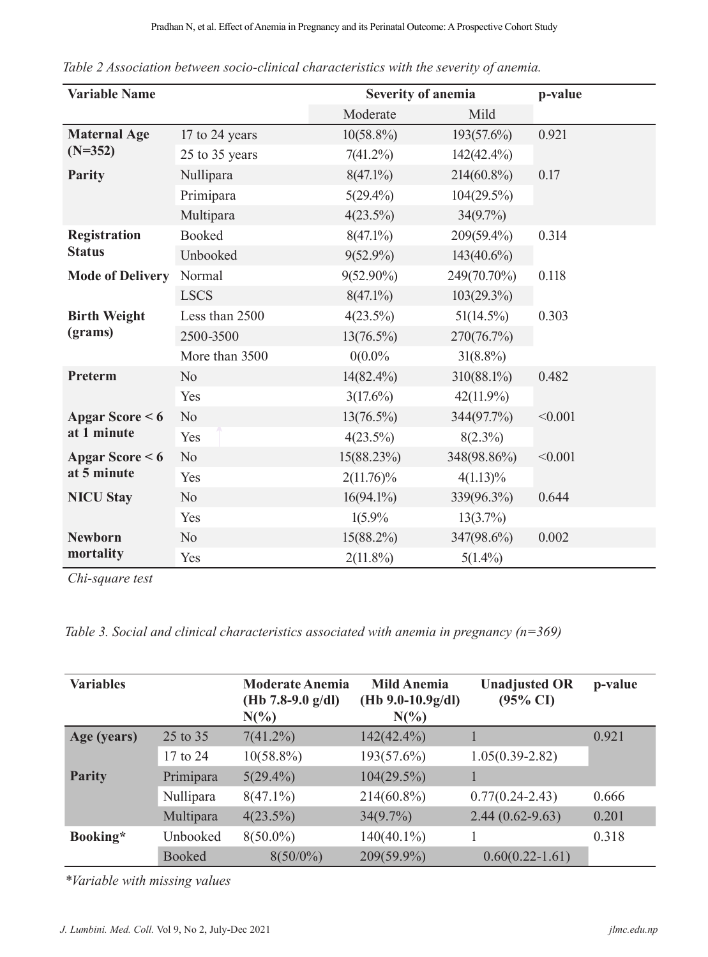| <b>Variable Name</b>                    |                | Severity of anemia | p-value       |         |  |
|-----------------------------------------|----------------|--------------------|---------------|---------|--|
|                                         |                | Moderate           | Mild          |         |  |
| <b>Maternal Age</b><br>$(N=352)$        | 17 to 24 years | $10(58.8\%)$       | 193(57.6%)    | 0.921   |  |
|                                         | 25 to 35 years | $7(41.2\%)$        | $142(42.4\%)$ |         |  |
| <b>Parity</b>                           | Nullipara      | $8(47.1\%)$        | 214(60.8%)    | 0.17    |  |
|                                         | Primipara      | $5(29.4\%)$        | $104(29.5\%)$ |         |  |
|                                         | Multipara      | $4(23.5\%)$        | 34(9.7%)      |         |  |
| <b>Registration</b><br><b>Status</b>    | <b>Booked</b>  | $8(47.1\%)$        | 209(59.4%)    | 0.314   |  |
|                                         | Unbooked       | $9(52.9\%)$        | $143(40.6\%)$ |         |  |
| <b>Mode of Delivery</b>                 | Normal         | $9(52.90\%)$       | 249(70.70%)   | 0.118   |  |
|                                         | <b>LSCS</b>    | $8(47.1\%)$        | 103(29.3%)    |         |  |
| <b>Birth Weight</b><br>(grams)          | Less than 2500 | $4(23.5\%)$        | $51(14.5\%)$  | 0.303   |  |
|                                         | 2500-3500      | $13(76.5\%)$       | 270(76.7%)    |         |  |
|                                         | More than 3500 | 0(0.0%             | $31(8.8\%)$   |         |  |
| Preterm                                 | N <sub>o</sub> | $14(82.4\%)$       | 310(88.1%)    | 0.482   |  |
|                                         | Yes            | $3(17.6\%)$        | $42(11.9\%)$  |         |  |
| Apgar Score $< 6$<br>at 1 minute        | N <sub>o</sub> | $13(76.5\%)$       | 344(97.7%)    | < 0.001 |  |
|                                         | Yes            | $4(23.5\%)$        | $8(2.3\%)$    |         |  |
| <b>Apgar Score &lt;6</b><br>at 5 minute | N <sub>o</sub> | 15(88.23%)         | 348(98.86%)   | < 0.001 |  |
|                                         | Yes            | $2(11.76)\%$       | $4(1.13)\%$   |         |  |
| <b>NICU Stay</b>                        | N <sub>o</sub> | $16(94.1\%)$       | 339(96.3%)    | 0.644   |  |
|                                         | Yes            | 1(5.9%             | 13(3.7%)      |         |  |
| <b>Newborn</b><br>mortality             | N <sub>o</sub> | $15(88.2\%)$       | 347(98.6%)    | 0.002   |  |
|                                         | Yes            | $2(11.8\%)$        | $5(1.4\%)$    |         |  |

*Table 2 Association between socio-clinical characteristics with the severity of anemia.*

*Chi-square test*

*Table 3. Social and clinical characteristics associated with anemia in pregnancy (n=369)*

| <b>Variables</b> |               | <b>Moderate Anemia</b><br>(Hb 7.8-9.0 $g/dl$ )<br>$N(\%)$ | <b>Mild Anemia</b><br>$(Hb 9.0-10.9g/dl)$<br>$N(\%)$ | <b>Unadjusted OR</b><br>$(95\% \text{ CI})$ | p-value |
|------------------|---------------|-----------------------------------------------------------|------------------------------------------------------|---------------------------------------------|---------|
| Age (years)      | 25 to 35      | $7(41.2\%)$                                               | $142(42.4\%)$                                        |                                             | 0.921   |
|                  | 17 to 24      | $10(58.8\%)$                                              | 193(57.6%)                                           | $1.05(0.39 - 2.82)$                         |         |
| <b>Parity</b>    | Primipara     | $5(29.4\%)$                                               | $104(29.5\%)$                                        |                                             |         |
|                  | Nullipara     | $8(47.1\%)$                                               | $214(60.8\%)$                                        | $0.77(0.24 - 2.43)$                         | 0.666   |
|                  | Multipara     | $4(23.5\%)$                                               | $34(9.7\%)$                                          | $2.44(0.62 - 9.63)$                         | 0.201   |
| Booking*         | Unbooked      | $8(50.0\%)$                                               | $140(40.1\%)$                                        |                                             | 0.318   |
|                  | <b>Booked</b> | $8(50/0\%)$                                               | 209(59.9%)                                           | $0.60(0.22 - 1.61)$                         |         |

*\*Variable with missing values*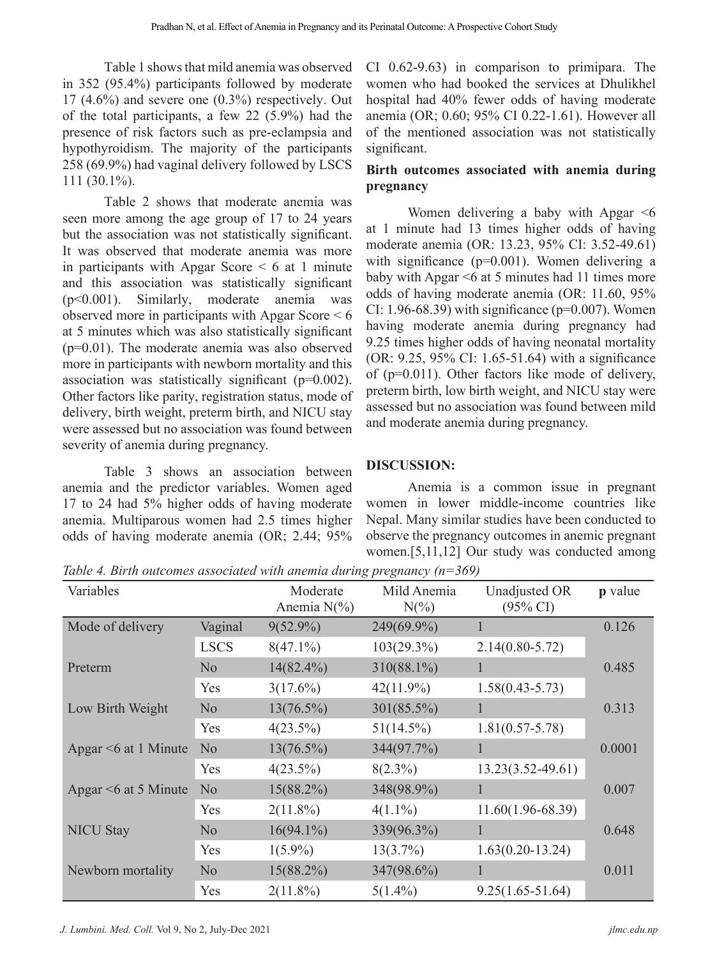Table 1 shows that mild anemia was observed in 352 (95.4%) participants followed by moderate  $17$  (4.6%) and severe one (0.3%) respectively. Out of the total participants, a few 22 (5.9%) had the presence of risk factors such as pre-eclampsia and hypothyroidism. The majority of the participants 258 (69.9%) had vaginal delivery followed by LSCS 111 (30.1%).

Table 2 shows that moderate anemia was seen more among the age group of 17 to 24 years but the association was not statistically significant. It was observed that moderate anemia was more in participants with Apgar Score  $\leq 6$  at 1 minute and this association was statistically significant (p<0.001). Similarly, moderate anemia was observed more in participants with Apgar Score < 6 at 5 minutes which was also statistically significant (p=0.01). The moderate anemia was also observed more in participants with newborn mortality and this association was statistically significant (p=0.002). Other factors like parity, registration status, mode of delivery, birth weight, preterm birth, and NICU stay were assessed but no association was found between severity of anemia during pregnancy.

Table 3 shows an association between anemia and the predictor variables. Women aged 17 to 24 had 5% higher odds of having moderate anemia. Multiparous women had 2.5 times higher odds of having moderate anemia (OR; 2.44; 95% CI 0.62-9.63) in comparison to primipara. The women who had booked the services at Dhulikhel hospital had 40% fewer odds of having moderate anemia (OR; 0.60; 95% CI 0.22-1.61). However all of the mentioned association was not statistically significant.

### **Birth outcomes associated with anemia during pregnancy**

Women delivering a baby with Apgar  $\leq 6$ at 1 minute had 13 times higher odds of having moderate anemia (OR: 13.23, 95% CI: 3.52-49.61) with significance (p=0.001). Women delivering a baby with Apgar <6 at 5 minutes had 11 times more odds of having moderate anemia (OR: 11.60, 95% CI: 1.96-68.39) with significance ( $p=0.007$ ). Women having moderate anemia during pregnancy had 9.25 times higher odds of having neonatal mortality (OR: 9.25, 95% CI: 1.65-51.64) with a significance of (p=0.011). Other factors like mode of delivery, preterm birth, low birth weight, and NICU stay were assessed but no association was found between mild and moderate anemia during pregnancy.

### **DISCUSSION:**

Anemia is a common issue in pregnant women in lower middle-income countries like Nepal. Many similar studies have been conducted to observe the pregnancy outcomes in anemic pregnant women.[5,11,12] Our study was conducted among

*Table 4. Birth outcomes associated with anemia during pregnancy (n=369)*

| Variables                  |                | Moderate<br>Anemia $N(\% )$ | Mild Anemia<br>$N(\%)$ | Unadjusted OR<br>$(95\% \text{ CI})$ | <b>p</b> value |
|----------------------------|----------------|-----------------------------|------------------------|--------------------------------------|----------------|
| Mode of delivery           | Vaginal        | $9(52.9\%)$                 | 249(69.9%)             | 1                                    | 0.126          |
|                            | <b>LSCS</b>    | $8(47.1\%)$                 | $103(29.3\%)$          | $2.14(0.80 - 5.72)$                  |                |
| Preterm                    | N <sub>o</sub> | $14(82.4\%)$                | $310(88.1\%)$          | 1                                    | 0.485          |
|                            | Yes            | $3(17.6\%)$                 | $42(11.9\%)$           | $1.58(0.43 - 5.73)$                  |                |
| Low Birth Weight           | N <sub>o</sub> | $13(76.5\%)$                | 301(85.5%)             | 1                                    | 0.313          |
|                            | Yes            | $4(23.5\%)$                 | $51(14.5\%)$           | $1.81(0.57 - 5.78)$                  |                |
| Apgar $\leq 6$ at 1 Minute | N <sub>o</sub> | $13(76.5\%)$                | 344(97.7%)             | 1                                    | 0.0001         |
|                            | Yes            | $4(23.5\%)$                 | $8(2.3\%)$             | $13.23(3.52 - 49.61)$                |                |
| Apgar $\leq 6$ at 5 Minute | N <sub>o</sub> | $15(88.2\%)$                | 348(98.9%)             | 1                                    | 0.007          |
|                            | Yes            | $2(11.8\%)$                 | $4(1.1\%)$             | $11.60(1.96-68.39)$                  |                |
| <b>NICU Stay</b>           | N <sub>o</sub> | $16(94.1\%)$                | 339(96.3%)             | 1                                    | 0.648          |
|                            | Yes            | $1(5.9\%)$                  | $13(3.7\%)$            | $1.63(0.20-13.24)$                   |                |
| Newborn mortality          | N <sub>o</sub> | $15(88.2\%)$                | 347(98.6%)             | 1                                    | 0.011          |
|                            | Yes            | $2(11.8\%)$                 | $5(1.4\%)$             | $9.25(1.65 - 51.64)$                 |                |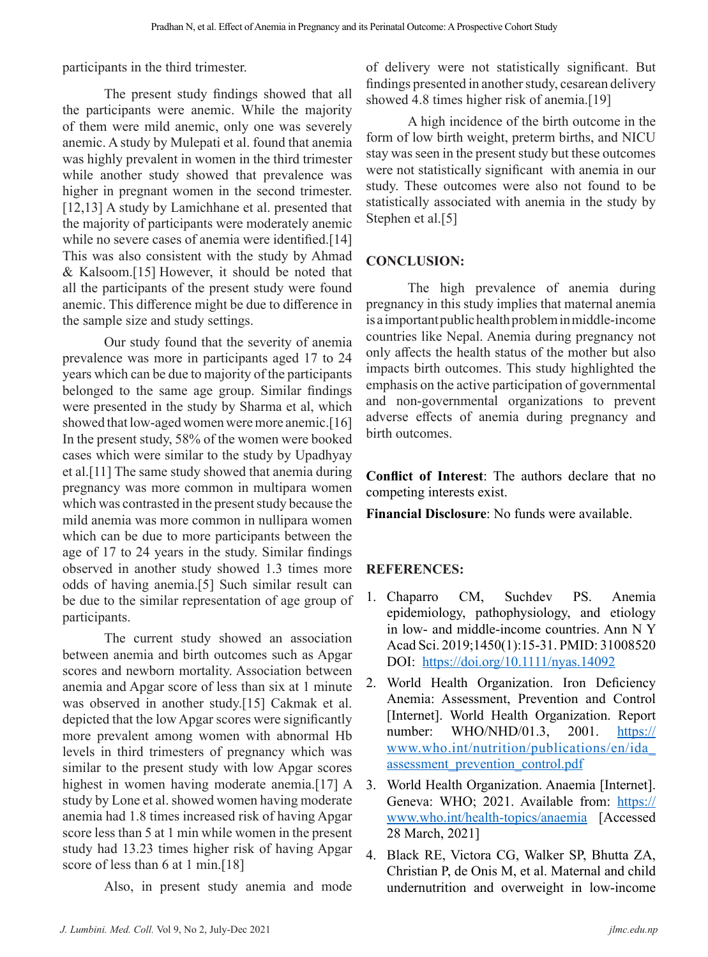participants in the third trimester.

The present study findings showed that all the participants were anemic. While the majority of them were mild anemic, only one was severely anemic. A study by Mulepati et al. found that anemia was highly prevalent in women in the third trimester while another study showed that prevalence was higher in pregnant women in the second trimester. [12,13] A study by Lamichhane et al. presented that the majority of participants were moderately anemic while no severe cases of anemia were identified.[14] This was also consistent with the study by Ahmad & Kalsoom.[15] However, it should be noted that all the participants of the present study were found anemic. This difference might be due to difference in the sample size and study settings.

Our study found that the severity of anemia prevalence was more in participants aged 17 to 24 years which can be due to majority of the participants belonged to the same age group. Similar findings were presented in the study by Sharma et al, which showed that low-aged women were more anemic.[16] In the present study, 58% of the women were booked cases which were similar to the study by Upadhyay et al.[11] The same study showed that anemia during pregnancy was more common in multipara women which was contrasted in the present study because the mild anemia was more common in nullipara women which can be due to more participants between the age of 17 to 24 years in the study. Similar findings observed in another study showed 1.3 times more odds of having anemia.[5] Such similar result can be due to the similar representation of age group of participants.

The current study showed an association between anemia and birth outcomes such as Apgar scores and newborn mortality. Association between anemia and Apgar score of less than six at 1 minute was observed in another study.[15] Cakmak et al. depicted that the low Apgar scores were significantly more prevalent among women with abnormal Hb levels in third trimesters of pregnancy which was similar to the present study with low Apgar scores highest in women having moderate anemia.[17] A study by Lone et al. showed women having moderate anemia had 1.8 times increased risk of having Apgar score less than 5 at 1 min while women in the present study had 13.23 times higher risk of having Apgar score of less than 6 at 1 min.<sup>[18]</sup>

Also, in present study anemia and mode

of delivery were not statistically significant. But findings presented in another study, cesarean delivery showed 4.8 times higher risk of anemia.[19]

A high incidence of the birth outcome in the form of low birth weight, preterm births, and NICU stay was seen in the present study but these outcomes were not statistically significant with anemia in our study. These outcomes were also not found to be statistically associated with anemia in the study by Stephen et al.[5]

# **CONCLUSION:**

The high prevalence of anemia during pregnancy in this study implies that maternal anemia is a important public health problem in middle-income countries like Nepal. Anemia during pregnancy not only affects the health status of the mother but also impacts birth outcomes. This study highlighted the emphasis on the active participation of governmental and non-governmental organizations to prevent adverse effects of anemia during pregnancy and birth outcomes.

**Conflict of Interest**: The authors declare that no competing interests exist.

**Financial Disclosure**: No funds were available.

# **REFERENCES:**

- 1. Chaparro CM, Suchdev PS. Anemia epidemiology, pathophysiology, and etiology in low- and middle-income countries. Ann N Y Acad Sci. 2019;1450(1):15-31. PMID: 31008520 DOI: https://doi.org/10.1111/nyas.14092
- 2. World Health Organization. Iron Deficiency Anemia: Assessment, Prevention and Control [Internet]. World Health Organization. Report number: WHO/NHD/01.3, 2001. https:// www.who.int/nutrition/publications/en/ida\_ assessment\_prevention\_control.pdf
- 3. World Health Organization. Anaemia [Internet]. Geneva: WHO; 2021. Available from: https:// www.who.int/health-topics/anaemia [Accessed 28 March, 2021]
- 4. Black RE, Victora CG, Walker SP, Bhutta ZA, Christian P, de Onis M, et al. Maternal and child undernutrition and overweight in low-income